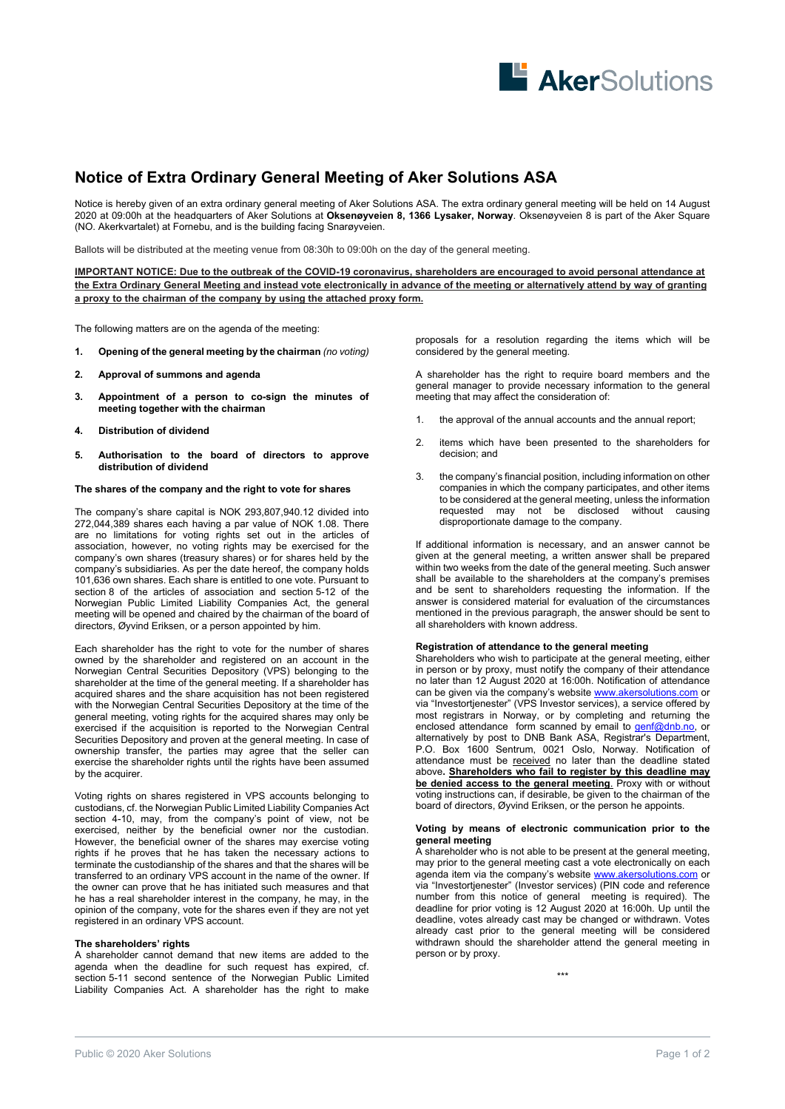

# **Notice of Extra Ordinary General Meeting of Aker Solutions ASA**

Notice is hereby given of an extra ordinary general meeting of Aker Solutions ASA. The extra ordinary general meeting will be held on 14 August 2020 at 09:00h at the headquarters of Aker Solutions at **Oksenøyveien 8, 1366 Lysaker, Norway**. Oksenøyveien 8 is part of the Aker Square (NO. Akerkvartalet) at Fornebu, and is the building facing Snarøyveien.

Ballots will be distributed at the meeting venue from 08:30h to 09:00h on the day of the general meeting.

**IMPORTANT NOTICE: Due to the outbreak of the COVID-19 coronavirus, shareholders are encouraged to avoid personal attendance at the Extra Ordinary General Meeting and instead vote electronically in advance of the meeting or alternatively attend by way of granting a proxy to the chairman of the company by using the attached proxy form.** 

The following matters are on the agenda of the meeting:

- **1. Opening of the general meeting by the chairman** *(no voting)*
- **2. Approval of summons and agenda**
- **3. Appointment of a person to co-sign the minutes of meeting together with the chairman**
- **4. Distribution of dividend**
- **5. Authorisation to the board of directors to approve distribution of dividend**

### **The shares of the company and the right to vote for shares**

The company's share capital is NOK 293,807,940.12 divided into 272,044,389 shares each having a par value of NOK 1.08. There are no limitations for voting rights set out in the articles of association, however, no voting rights may be exercised for the company's own shares (treasury shares) or for shares held by the company's subsidiaries. As per the date hereof, the company holds 101,636 own shares. Each share is entitled to one vote. Pursuant to section 8 of the articles of association and section 5-12 of the Norwegian Public Limited Liability Companies Act, the general meeting will be opened and chaired by the chairman of the board of directors, Øyvind Eriksen, or a person appointed by him.

Each shareholder has the right to vote for the number of shares owned by the shareholder and registered on an account in the Norwegian Central Securities Depository (VPS) belonging to the shareholder at the time of the general meeting. If a shareholder has acquired shares and the share acquisition has not been registered with the Norwegian Central Securities Depository at the time of the general meeting, voting rights for the acquired shares may only be exercised if the acquisition is reported to the Norwegian Central Securities Depository and proven at the general meeting. In case of ownership transfer, the parties may agree that the seller can exercise the shareholder rights until the rights have been assumed by the acquirer.

Voting rights on shares registered in VPS accounts belonging to custodians, cf. the Norwegian Public Limited Liability Companies Act section 4-10, may, from the company's point of view, not be exercised, neither by the beneficial owner nor the custodian. However, the beneficial owner of the shares may exercise voting rights if he proves that he has taken the necessary actions to terminate the custodianship of the shares and that the shares will be transferred to an ordinary VPS account in the name of the owner. If the owner can prove that he has initiated such measures and that he has a real shareholder interest in the company, he may, in the opinion of the company, vote for the shares even if they are not yet registered in an ordinary VPS account.

## **The shareholders' rights**

A shareholder cannot demand that new items are added to the agenda when the deadline for such request has expired, cf. section 5-11 second sentence of the Norwegian Public Limited Liability Companies Act. A shareholder has the right to make

proposals for a resolution regarding the items which will be considered by the general meeting.

A shareholder has the right to require board members and the general manager to provide necessary information to the general meeting that may affect the consideration of:

- 1. the approval of the annual accounts and the annual report;
- 2. items which have been presented to the shareholders for decision; and
- 3. the company's financial position, including information on other companies in which the company participates, and other items to be considered at the general meeting, unless the information requested may not be disclosed without causing disproportionate damage to the company.

If additional information is necessary, and an answer cannot be given at the general meeting, a written answer shall be prepared within two weeks from the date of the general meeting. Such answer shall be available to the shareholders at the company's premises and be sent to shareholders requesting the information. If the answer is considered material for evaluation of the circumstances mentioned in the previous paragraph, the answer should be sent to all shareholders with known address.

## **Registration of attendance to the general meeting**

Shareholders who wish to participate at the general meeting, either in person or by proxy, must notify the company of their attendance no later than 12 August 2020 at 16:00h. Notification of attendance can be given via the company's website www.akersolutions.com or via "Investortjenester" (VPS Investor services), a service offered by most registrars in Norway, or by completing and returning the enclosed attendance form scanned by email to **genf@dnb.no**, or alternatively by post to DNB Bank ASA, Registrar's Department, P.O. Box 1600 Sentrum, 0021 Oslo, Norway. Notification of attendance must be received no later than the deadline stated above**. Shareholders who fail to register by this deadline may be denied access to the general meeting**. Proxy with or without voting instructions can, if desirable, be given to the chairman of the board of directors, Øyvind Eriksen, or the person he appoints.

#### **Voting by means of electronic communication prior to the general meeting**

A shareholder who is not able to be present at the general meeting, may prior to the general meeting cast a vote electronically on each agenda item via the company's website www.akersolutions.com or via "Investortjenester" (Investor services) (PIN code and reference number from this notice of general meeting is required). The deadline for prior voting is 12 August 2020 at 16:00h. Up until the deadline, votes already cast may be changed or withdrawn. Votes already cast prior to the general meeting will be considered withdrawn should the shareholder attend the general meeting in person or by proxy.